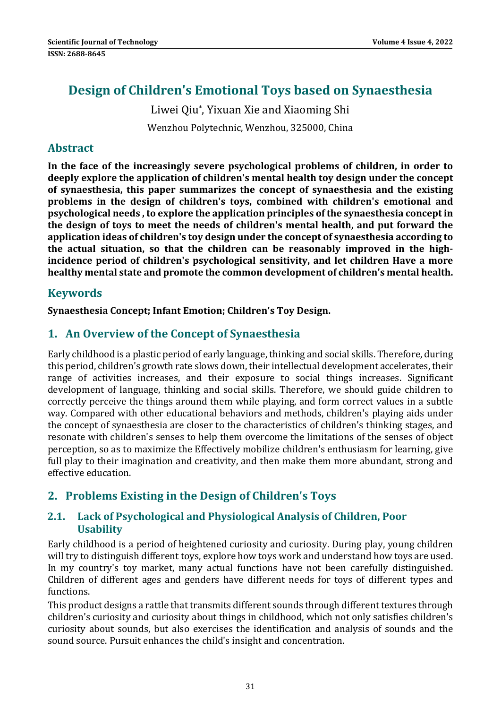# **Design of Children's Emotional Toys based on Synaesthesia**

Liwei Qiu<sup>\*</sup>, Yixuan Xie and Xiaoming Shi Wenzhou Polytechnic, Wenzhou, 325000, China

# **Abstract**

**In the face of the increasingly severe psychological problems of children, in order to deeply explore the application of children's mental health toy design under the concept of synaesthesia, this paper summarizes the concept of synaesthesia and the existing problems in the design of children's toys, combined with children's emotional and psychological needs , to explore the application principles of the synaesthesia concept in the design of toys to meet the needs of children's mental health, and put forward the application ideas of children's toy design under the concept of synaesthesia according to the actual situation, so that the children can be reasonably improved in the high‐ incidence period of children's psychological sensitivity, and let children Have a more healthy mental state and promote the common development of children's mental health.**

# **Keywords**

**Synaesthesia Concept; Infant Emotion; Children's Toy Design.**

# **1. An Overview of the Concept of Synaesthesia**

Early childhood is a plastic period of early language, thinking and social skills. Therefore, during this period, children's growth rate slows down, their intellectual development accelerates, their range of activities increases, and their exposure to social things increases. Significant development of language, thinking and social skills. Therefore, we should guide children to correctly perceive the things around them while playing, and form correct values in a subtle way. Compared with other educational behaviors and methods, children's playing aids under the concept of synaesthesia are closer to the characteristics of children's thinking stages, and resonate with children's senses to help them overcome the limitations of the senses of object perception, so as to maximize the Effectively mobilize children's enthusiasm for learning, give full play to their imagination and creativity, and then make them more abundant, strong and effective education.

# **2. Problems Existing in the Design of Children's Toys**

### **2.1. Lack of Psychological and Physiological Analysis of Children, Poor Usability**

Early childhood is a period of heightened curiosity and curiosity. During play, young children will try to distinguish different toys, explore how toys work and understand how toys are used. In my country's toy market, many actual functions have not been carefully distinguished. Children of different ages and genders have different needs for toys of different types and functions. 

This product designs a rattle that transmits different sounds through different textures through children's curiosity and curiosity about things in childhood, which not only satisfies children's curiosity about sounds, but also exercises the identification and analysis of sounds and the sound source. Pursuit enhances the child's insight and concentration.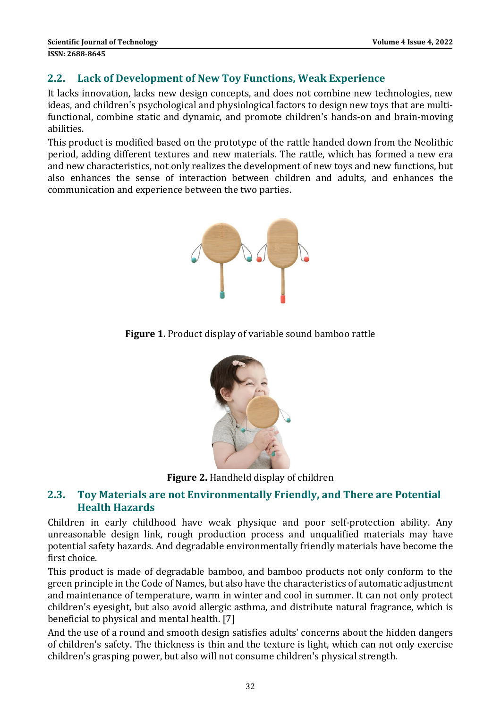#### **2.2. Lack of Development of New Toy Functions, Weak Experience**

It lacks innovation, lacks new design concepts, and does not combine new technologies, new ideas, and children's psychological and physiological factors to design new toys that are multifunctional, combine static and dynamic, and promote children's hands-on and brain-moving abilities. 

This product is modified based on the prototype of the rattle handed down from the Neolithic period, adding different textures and new materials. The rattle, which has formed a new era and new characteristics, not only realizes the development of new toys and new functions, but also enhances the sense of interaction between children and adults, and enhances the communication and experience between the two parties.



**Figure 1.** Product display of variable sound bamboo rattle



Figure 2. Handheld display of children

### **2.3. Toy Materials are not Environmentally Friendly, and There are Potential Health Hazards**

Children in early childhood have weak physique and poor self-protection ability. Any unreasonable design link, rough production process and unqualified materials may have potential safety hazards. And degradable environmentally friendly materials have become the first choice.

This product is made of degradable bamboo, and bamboo products not only conform to the green principle in the Code of Names, but also have the characteristics of automatic adjustment and maintenance of temperature, warm in winter and cool in summer. It can not only protect children's eyesight, but also avoid allergic asthma, and distribute natural fragrance, which is beneficial to physical and mental health. [7]

And the use of a round and smooth design satisfies adults' concerns about the hidden dangers of children's safety. The thickness is thin and the texture is light, which can not only exercise children's grasping power, but also will not consume children's physical strength.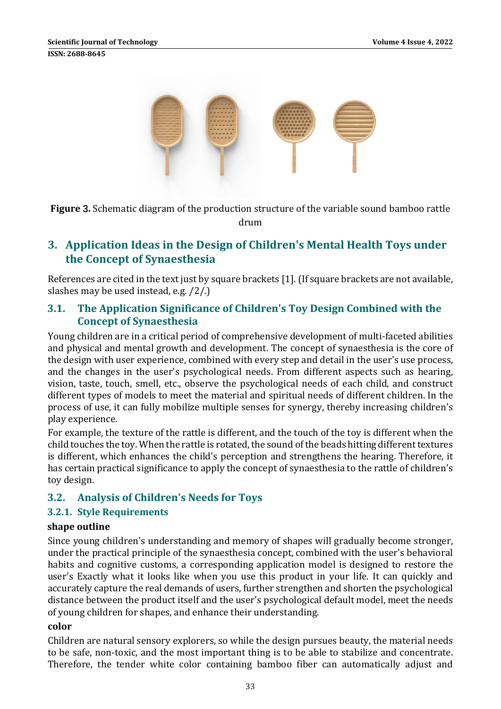

**Figure 3.** Schematic diagram of the production structure of the variable sound bamboo rattle drum 

# **3. Application Ideas in the Design of Children's Mental Health Toys under the Concept of Synaesthesia**

References are cited in the text just by square brackets [1]. (If square brackets are not available, slashes may be used instead, e.g.  $/2$ .)

### **3.1. The Application Significance of Children's Toy Design Combined with the Concept of Synaesthesia**

Young children are in a critical period of comprehensive development of multi-faceted abilities and physical and mental growth and development. The concept of synaesthesia is the core of the design with user experience, combined with every step and detail in the user's use process, and the changes in the user's psychological needs. From different aspects such as hearing, vision, taste, touch, smell, etc., observe the psychological needs of each child, and construct different types of models to meet the material and spiritual needs of different children. In the process of use, it can fully mobilize multiple senses for synergy, thereby increasing children's play experience.

For example, the texture of the rattle is different, and the touch of the toy is different when the child touches the toy. When the rattle is rotated, the sound of the beads hitting different textures is different, which enhances the child's perception and strengthens the hearing. Therefore, it has certain practical significance to apply the concept of synaesthesia to the rattle of children's toy design.

# **3.2. Analysis of Children's Needs for Toys**

### **3.2.1. Style Requirements**

#### **shape outline**

Since young children's understanding and memory of shapes will gradually become stronger, under the practical principle of the synaesthesia concept, combined with the user's behavioral habits and cognitive customs, a corresponding application model is designed to restore the user's Exactly what it looks like when you use this product in your life. It can quickly and accurately capture the real demands of users, further strengthen and shorten the psychological distance between the product itself and the user's psychological default model, meet the needs of young children for shapes, and enhance their understanding.

#### **color**

Children are natural sensory explorers, so while the design pursues beauty, the material needs to be safe, non-toxic, and the most important thing is to be able to stabilize and concentrate. Therefore, the tender white color containing bamboo fiber can automatically adjust and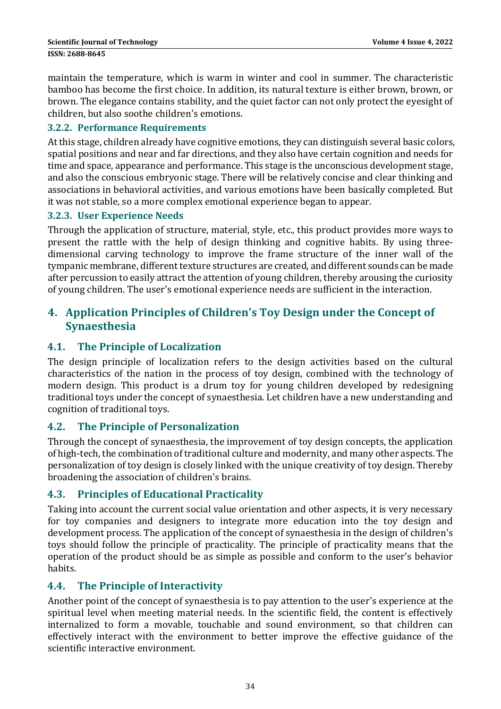maintain the temperature, which is warm in winter and cool in summer. The characteristic bamboo has become the first choice. In addition, its natural texture is either brown, brown, or brown. The elegance contains stability, and the quiet factor can not only protect the eyesight of children, but also soothe children's emotions.

#### **3.2.2. Performance Requirements**

At this stage, children already have cognitive emotions, they can distinguish several basic colors, spatial positions and near and far directions, and they also have certain cognition and needs for time and space, appearance and performance. This stage is the unconscious development stage, and also the conscious embryonic stage. There will be relatively concise and clear thinking and associations in behavioral activities, and various emotions have been basically completed. But it was not stable, so a more complex emotional experience began to appear.

#### **3.2.3. User Experience Needs**

Through the application of structure, material, style, etc., this product provides more ways to present the rattle with the help of design thinking and cognitive habits. By using threedimensional carving technology to improve the frame structure of the inner wall of the tympanic membrane, different texture structures are created, and different sounds can be made after percussion to easily attract the attention of young children, thereby arousing the curiosity of young children. The user's emotional experience needs are sufficient in the interaction.

# **4. Application Principles of Children's Toy Design under the Concept of Synaesthesia**

### **4.1. The Principle of Localization**

The design principle of localization refers to the design activities based on the cultural characteristics of the nation in the process of toy design, combined with the technology of modern design. This product is a drum toy for young children developed by redesigning traditional toys under the concept of synaesthesia. Let children have a new understanding and cognition of traditional toys.

### **4.2. The Principle of Personalization**

Through the concept of synaesthesia, the improvement of toy design concepts, the application of high-tech, the combination of traditional culture and modernity, and many other aspects. The personalization of toy design is closely linked with the unique creativity of toy design. Thereby broadening the association of children's brains.

### **4.3. Principles of Educational Practicality**

Taking into account the current social value orientation and other aspects, it is very necessary for toy companies and designers to integrate more education into the toy design and development process. The application of the concept of synaesthesia in the design of children's toys should follow the principle of practicality. The principle of practicality means that the operation of the product should be as simple as possible and conform to the user's behavior habits. 

### **4.4. The Principle of Interactivity**

Another point of the concept of synaesthesia is to pay attention to the user's experience at the spiritual level when meeting material needs. In the scientific field, the content is effectively internalized to form a movable, touchable and sound environment, so that children can effectively interact with the environment to better improve the effective guidance of the scientific interactive environment.